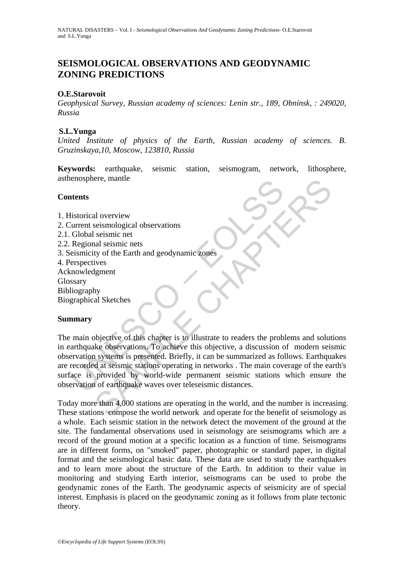# **SEISMOLOGICAL OBSERVATIONS AND GEODYNAMIC ZONING PREDICTIONS**

#### **O.E.Starovoit**

*Geophysical Survey, Russian academy of sciences: Lenin str., 189, Obninsk, : 249020, Russia* 

#### **S.L.Yunga**

*United Institute of physics of the Earth, Russian academy of sciences. B. Gruzinskaya,10, Moscow, 123810, Russia* 

**Keywords:** earthquake, seismic station, seismogram, network, lithosphere, asthenosphere, mantle

#### **Contents**

- 1. Historical overview
- 2. Current seismological observations
- 2.1. Global seismic net
- 2.2. Regional seismic nets
- 3. Seismicity of the Earth and geodynamic zones
- 4. Perspectives
- Acknowledgment
- Glossary
- Bibliography
- Biographical Sketches

### **Summary**

Exercise than the probability of the Series of the Series of Cabital science of Cabital science and Regional seismicity of the Earth and geodynamic zones<br>
Regional seismicity of the Earth and geodynamic zones<br>
erspectives<br> The set of this chapter is to illustrate to readers the problems and solutions of the Earth and geodynamic zones<br>
ives<br>
ty of the Earth and geodynamic zones<br>
ives<br>
signent<br>
thy<br>
al Sketches<br>
Subjective of this chapter is t The main objective of this chapter is to illustrate to readers the problems and solutions in earthquake observations. To achieve this objective, a discussion of modern seismic observation systems is presented. Briefly, it can be summarized as follows. Earthquakes are recorded at seismic stations operating in networks . The main coverage of the earth's surface is provided by world-wide permanent seismic stations which ensure the observation of earthquake waves over teleseismic distances.

Today more than 4,000 stations are operating in the world, and the number is increasing. These stations compose the world network and operate for the benefit of seismology as a whole. Each seismic station in the network detect the movement of the ground at the site. The fundamental observations used in seismology are seismograms which are a record of the ground motion at a specific location as a function of time. Seismograms are in different forms, on "smoked" paper, photographic or standard paper, in digital format and the seismological basic data. These data are used to study the earthquakes and to learn more about the structure of the Earth. In addition to their value in monitoring and studying Earth interior, seismograms can be used to probe the geodynamic zones of the Earth. The geodynamic aspects of seismicity are of special interest. Emphasis is placed on the geodynamic zoning as it follows from plate tectonic theory.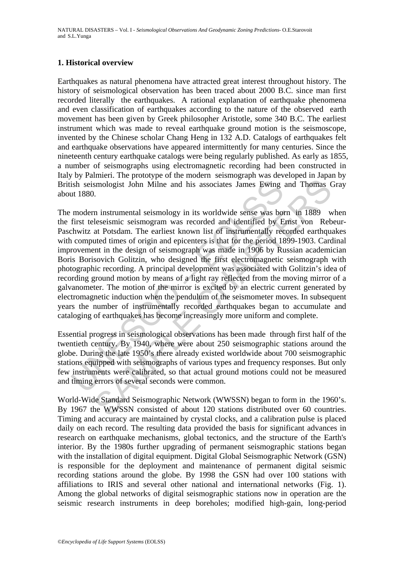#### **1. Historical overview**

Earthquakes as natural phenomena have attracted great interest throughout history. The history of seismological observation has been traced about 2000 B.C. since man first recorded literally the earthquakes. A rational explanation of earthquake phenomena and even classification of earthquakes according to the nature of the observed earth movement has been given by Greek philosopher Aristotle, some 340 B.C. The earliest instrument which was made to reveal earthquake ground motion is the seismoscope, invented by the Chinese scholar Chang Heng in 132 A.D. Catalogs of earthquakes felt and earthquake observations have appeared intermittently for many centuries. Since the nineteenth century earthquake catalogs were being regularly published. As early as 1855, a number of seismographs using electromagnetic recording had been constructed in Italy by Palmieri. The prototype of the modern seismograph was developed in Japan by British seismologist John Milne and his associates James Ewing and Thomas Gray about 1880.

ish seismologist John Milne and his associates James Ewing<br>to the status of the status of the status of the status of the status of<br>first teleseismic seismogram was recorded and identified by E<br>first teleseismic seismogram smologist John Milne and his associates James Ewing and Thomas Composity John Milne and his associates James Ewing and Thomas C.<br>
1. instrumental seismogram was recorded and identified by Ernst von Reb<br>
at Potsdam. The ear The modern instrumental seismology in its worldwide sense was born in 1889 when the first teleseismic seismogram was recorded and identified by Ernst von Rebeur-Paschwitz at Potsdam. The earliest known list of instrumentally recorded earthquakes with computed times of origin and epicenters is that for the period 1899-1903. Cardinal improvement in the design of seismograph was made in 1906 by Russian academician Boris Borisovich Golitzin, who designed the first electromagnetic seismograph with photographic recording. A principal development was associated with Golitzin's idea of recording ground motion by means of a light ray reflected from the moving mirror of a galvanometer. The motion of the mirror is excited by an electric current generated by electromagnetic induction when the pendulum of the seismometer moves. In subsequent years the number of instrumentally recorded earthquakes began to accumulate and cataloging of earthquakes has become increasingly more uniform and complete.

Essential progress in seismological observations has been made through first half of the twentieth century. By 1940, where were about 250 seismographic stations around the globe. During the late 1950's there already existed worldwide about 700 seismographic stations equipped with seismographs of various types and frequency responses. But only few instruments were calibrated, so that actual ground motions could not be measured and timing errors of several seconds were common.

World-Wide Standard Seismographic Network (WWSSN) began to form in the 1960's. By 1967 the WWSSN consisted of about 120 stations distributed over 60 countries. Timing and accuracy are maintained by crystal clocks, and a calibration pulse is placed daily on each record. The resulting data provided the basis for significant advances in research on earthquake mechanisms, global tectonics, and the structure of the Earth's interior. By the 1980s further upgrading of permanent seismographic stations began with the installation of digital equipment. Digital Global Seismographic Network (GSN) is responsible for the deployment and maintenance of permanent digital seismic recording stations around the globe. By 1998 the GSN had over 100 stations with affiliations to IRIS and several other national and international networks (Fig. 1). Among the global networks of digital seismographic stations now in operation are the seismic research instruments in deep boreholes; modified high-gain, long-period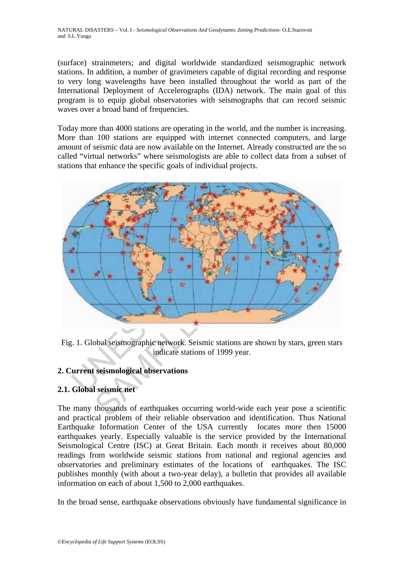(surface) strainmeters; and digital worldwide standardized seismographic network stations. In addition, a number of gravimeters capable of digital recording and response to very long wavelengths have been installed throughout the world as part of the International Deployment of Accelerographs (IDA) network. The main goal of this program is to equip global observatories with seismographs that can record seismic waves over a broad band of frequencies.

Today more than 4000 stations are operating in the world, and the number is increasing. More than 100 stations are equipped with internet connected computers, and large amount of seismic data are now available on the Internet. Already constructed are the so called "virtual networks" where seismologists are able to collect data from a subset of stations that enhance the specific goals of individual projects.



Fig. 1. Global seismographic network. Seismic stations are shown by stars, green stars indicate stations of 1999 year.

### **2. Current seismological observations**

## **2.1. Global seismic net**

The many thousands of earthquakes occurring world-wide each year pose a scientific and practical problem of their reliable observation and identification. Thus National Earthquake Information Center of the USA currently locates more then 15000 earthquakes yearly. Especially valuable is the service provided by the International Seismological Centre (ISC) at Great Britain. Each month it receives about 80,000 readings from worldwide seismic stations from national and regional agencies and observatories and preliminary estimates of the locations of earthquakes. The ISC publishes monthly (with about a two-year delay), a bulletin that provides all available information on each of about 1,500 to 2,000 earthquakes.

In the broad sense, earthquake observations obviously have fundamental significance in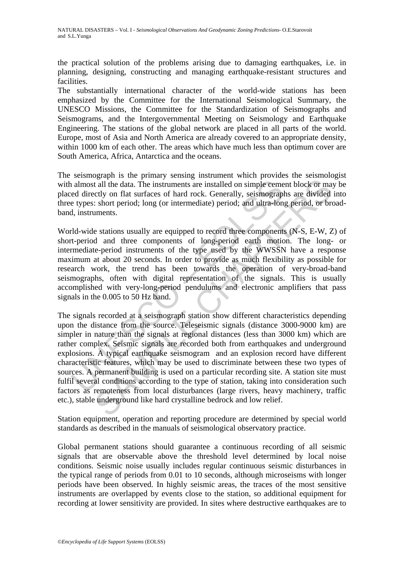the practical solution of the problems arising due to damaging earthquakes, i.e. in planning, designing, constructing and managing earthquake-resistant structures and facilities.

The substantially international character of the world-wide stations has been emphasized by the Committee for the International Seismological Summary, the UNESCO Missions, the Committee for the Standardization of Seismographs and Seismograms, and the Intergovernmental Meeting on Seismology and Earthquake Engineering. The stations of the global network are placed in all parts of the world. Europe, most of Asia and North America are already covered to an appropriate density, within 1000 km of each other. The areas which have much less than optimum cover are South America, Africa, Antarctica and the oceans.

The seismograph is the primary sensing instrument which provides the seismologist with almost all the data. The instruments are installed on simple cement block or may be placed directly on flat surfaces of hard rock. Generally, seismographs are divided into three types: short period; long (or intermediate) period; and ultra-long period, or broadband, instruments.

World-wide stations usually are equipped to record three components (N-S, E-W, Z) of short-period and three components of long-period earth motion. The long- or intermediate-period instruments of the type used by the WWSSN have a response maximum at about 20 seconds. In order to provide as much flexibility as possible for research work, the trend has been towards the operation of very-broad-band seismographs, often with digital representation of the signals. This is usually accomplished with very-long-period pendulums and electronic amplifiers that pass signals in the 0.005 to 50 Hz band.

almost all the data. The instruments are installed on simple cementry almost all the data. The instruments are installed on simple cementred directly on flat surfaces of hard rock. Generally, seismograph et types: short pe state that the instruments are installed on simple eement block or match<br>at all the data. The instruments are installed on simple eement block or match<br>ctly on flat surfaces of hard rock. Generally, seismographs are divide The signals recorded at a seismograph station show different characteristics depending upon the distance from the source. Teleseismic signals (distance 3000-9000 km) are simpler in nature than the signals at regional distances (less than 3000 km) which are rather complex. Seismic signals are recorded both from earthquakes and underground explosions. A typical earthquake seismogram and an explosion record have different characteristic features, which may be used to discriminate between these two types of sources. A permanent building is used on a particular recording site. A station site must fulfil several conditions according to the type of station, taking into consideration such factors as remoteness from local disturbances (large rivers, heavy machinery, traffic etc.), stable underground like hard crystalline bedrock and low relief.

Station equipment, operation and reporting procedure are determined by special world standards as described in the manuals of seismological observatory practice.

Global permanent stations should guarantee a continuous recording of all seismic signals that are observable above the threshold level determined by local noise conditions. Seismic noise usually includes regular continuous seismic disturbances in the typical range of periods from 0.01 to 10 seconds, although microseisms with longer periods have been observed. In highly seismic areas, the traces of the most sensitive instruments are overlapped by events close to the station, so additional equipment for recording at lower sensitivity are provided. In sites where destructive earthquakes are to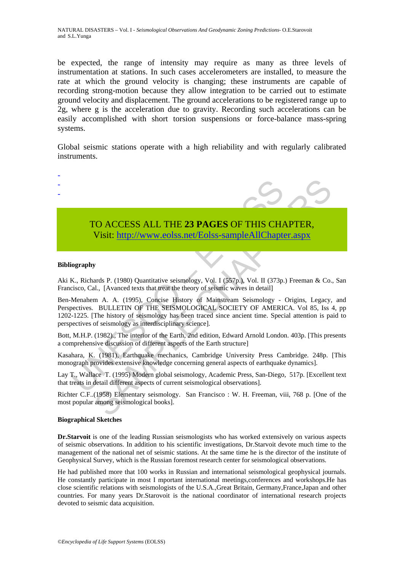NATURAL DISASTERS – Vol. I - *Seismological Observations And Geodynamic Zoning Predictions*- O.E.Starovoit and S.L.Yunga

be expected, the range of intensity may require as many as three levels of instrumentation at stations. In such cases accelerometers are installed, to measure the rate at which the ground velocity is changing; these instruments are capable of recording strong-motion because they allow integration to be carried out to estimate ground velocity and displacement. The ground accelerations to be registered range up to 2g, where g is the acceleration due to gravity. Recording such accelerations can be easily accomplished with short torsion suspensions or force-balance mass-spring systems.

Global seismic stations operate with a high reliability and with regularly calibrated instruments.



# TO ACCESS ALL THE **23 PAGES** OF THIS CHAPTER, Visit: http://www.eolss.net/Eolss-sampleAllChapter.aspx

#### **Bibliography**

Aki K., Richards P. (1980) Quantitative seismology, Vol. I (557p.), Vol. II (373p.) Freeman & Co., San Francisco, Cal., [Avanced texts that treat the theory of seismic waves in detail]

TO ACCESS ALL THE 23 PAGES OF THIS CHANNEL Visit: http://www.eolss.net/Eolss-sampleAllChapte<br>
Visit: http://www.eolss.net/Eolss-sampleAllChapte<br>
iography<br>
K., Richards P. (1980) Quantitative seismology, Vol. I (357p.), Vol CO ACCESS ALL THE 23 PAGES OF THIS CHA[PTE](https://www.eolss.net/ebooklib/sc_cart.aspx?File=E4-06-01-05)R,<br>
Visit: http://www.eolss.net/Eolss-sampleAllChapter.aspx<br>
ards P. (1980) Quantitative seismology, Vol. I (587p), Vol. II (373p) Freeman & Co.<br>
and B. (1980) Quantitative seismolo Ben-Menahem A. A. (1995), Concise History of Mainstream Seismology - Origins, Legacy, and Perspectives. BULLETIN OF THE SEISMOLOGICAL SOCIETY OF AMERICA. Vol 85, Iss 4, pp 1202-1225. [The history of seismology has been traced since ancient time. Special attention is paid to perspectives of seismology as interdisciplinary science].

Bott, M.H.P. (1982)., The interior of the Earth, 2nd edition, Edward Arnold London. 403p. [This presents a comprehensive discussion of different aspects of the Earth structure]

Kasahara, K. (1981), Earthquake mechanics, Cambridge University Press Cambridge. 248p. [This monograph provides extensive knowledge concerning general aspects of earthquake dynamics].

Lay T., Wallace T. (1995) Modern global seismology, Academic Press, San-Diego, 517p. [Excellent text that treats in detail different aspects of current seismological observations].

Richter C.F..(1958) Elementary seismology. San Francisco : W. H. Freeman, viii, 768 p. [One of the most popular among seismological books].

#### **Biographical Sketches**

**Dr.Starvoit** is one of the leading Russian seismologists who has worked extensively on various aspects of seismic observations. In addition to his scientific investigations, Dr.Starvoit devote much time to the management of the national net of seismic stations. At the same time he is the director of the institute of Geophysical Survey, which is the Russian foremost research center for seismological observations.

He had published more that 100 works in Russian and international seismological geophysical journals. He constantly participate in most I mportant international meetings,conferences and workshops.He has close scientific relations with seismologists of the U.S.A.,Great Britain, Germany,France,Japan and other countries. For many years Dr.Starovoit is the national coordinator of international research projects devoted to seismic data acquisition.